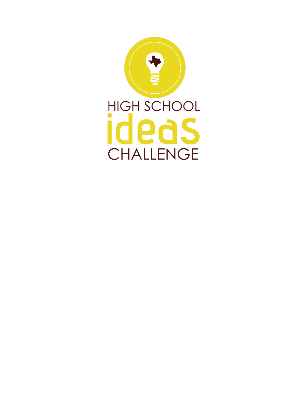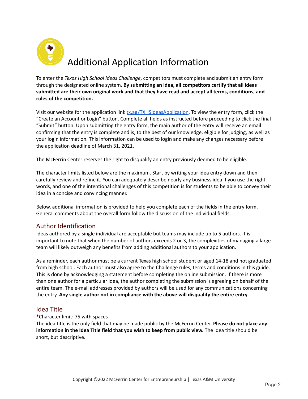

To enter the *Texas High School Ideas Challenge*, competitors must complete and submit an entry form through the designated online system. **By submitting an idea, all competitors certify that all ideas submitted are their own original work and that they have read and accept all terms, conditions, and rules of the competition.**

Visit our website for the application link [tx.ag/TXHSIdeasApplication](http://tx.ag/TXHSIdeasApplication). To view the entry form, click the "Create an Account or Login" button. Complete all fields as instructed before proceeding to click the final "Submit" button. Upon submitting the entry form, the main author of the entry will receive an email confirming that the entry is complete and is, to the best of our knowledge, eligible for judging, as well as your login information. This information can be used to login and make any changes necessary before the application deadline of March 31, 2021.

The McFerrin Center reserves the right to disqualify an entry previously deemed to be eligible.

The character limits listed below are the maximum. Start by writing your idea entry down and then carefully review and refine it. You can adequately describe nearly any business idea if you use the right words, and one of the intentional challenges of this competition is for students to be able to convey their idea in a concise and convincing manner.

Below, additional information is provided to help you complete each of the fields in the entry form. General comments about the overall form follow the discussion of the individual fields.

# Author Identification

Ideas authored by a single individual are acceptable but teams may include up to 5 authors. It is important to note that when the number of authors exceeds 2 or 3, the complexities of managing a large team will likely outweigh any benefits from adding additional authors to your application.

As a reminder, each author must be a current Texas high school student or aged 14-18 and not graduated from high school. Each author must also agree to the Challenge rules, terms and conditions in this guide. This is done by acknowledging a statement before completing the online submission. If there is more than one author for a particular idea, the author completing the submission is agreeing on behalf of the entire team. The e-mail addresses provided by authors will be used for any communications concerning the entry. **Any single author not in compliance with the above will disqualify the entire entry**.

### Idea Title

#### \*Character limit: 75 with spaces

The idea title is the only field that may be made public by the McFerrin Center. **Please do not place any information in the Idea Title field that you wish to keep from public view.** The idea title should be short, but descriptive.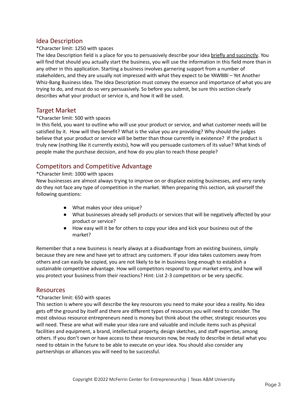## Idea Description

#### \*Character limit: 1250 with spaces

The Idea Description field is a place for you to persuasively describe your idea briefly and succinctly. You will find that should you actually start the business, you will use the information in this field more than in any other in this application. Starting a business involves garnering support from a number of stakeholders, and they are usually not impressed with what they expect to be YAWBBI – Yet Another Whiz-Bang Business Idea. The Idea Description must convey the essence and importance of what you are trying to do, and must do so very persuasively. So before you submit, be sure this section clearly describes what your product or service is, and how it will be used.

### Target Market

#### \*Character limit: 500 with spaces

In this field, you want to outline who will use your product or service, and what customer needs will be satisfied by it. How will they benefit? What is the value you are providing? Why should the judges believe that your product or service will be better than those currently in existence? If the product is truly new (nothing like it currently exists), how will you persuade customers of its value? What kinds of people make the purchase decision, and how do you plan to reach those people?

## Competitors and Competitive Advantage

#### \*Character limit: 1000 with spaces

New businesses are almost always trying to improve on or displace existing businesses, and very rarely do they not face any type of competition in the market. When preparing this section, ask yourself the following questions:

- What makes your idea unique?
- What businesses already sell products or services that will be negatively affected by your product or service?
- How easy will it be for others to copy your idea and kick your business out of the market?

Remember that a new business is nearly always at a disadvantage from an existing business, simply because they are new and have yet to attract any customers. If your idea takes customers away from others and can easily be copied, you are not likely to be in business long enough to establish a sustainable competitive advantage. How will competitors respond to your market entry, and how will you protect your business from their reactions? Hint: List 2-3 competitors or be very specific.

#### Resources

#### \*Character limit: 650 with spaces

This section is where you will describe the key resources you need to make your idea a reality. No idea gets off the ground by itself and there are different types of resources you will need to consider. The most obvious resource entrepreneurs need is money but think about the other, strategic resources you will need. These are what will make your idea rare and valuable and include items such as physical facilities and equipment, a brand, intellectual property, design sketches, and staff expertise, among others. If you don't own or have access to these resources now, be ready to describe in detail what you need to obtain in the future to be able to execute on your idea. You should also consider any partnerships or alliances you will need to be successful.